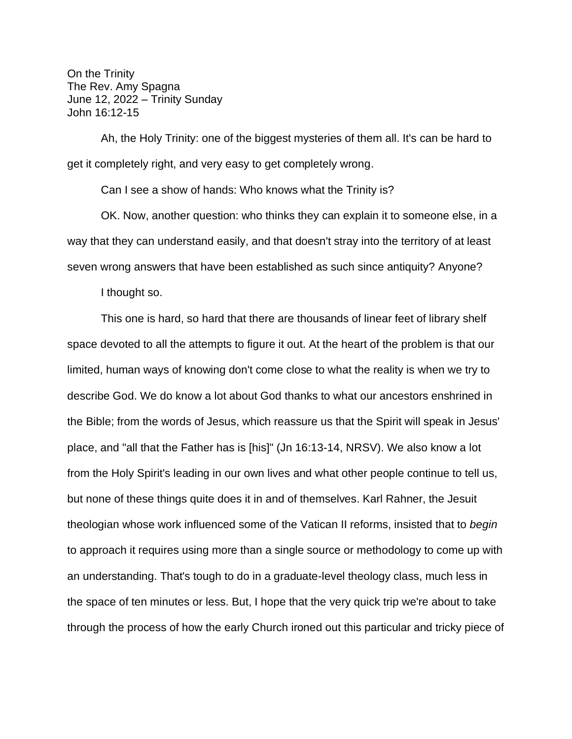On the Trinity The Rev. Amy Spagna June 12, 2022 – Trinity Sunday John 16:12-15

Ah, the Holy Trinity: one of the biggest mysteries of them all. It's can be hard to get it completely right, and very easy to get completely wrong.

Can I see a show of hands: Who knows what the Trinity is?

OK. Now, another question: who thinks they can explain it to someone else, in a way that they can understand easily, and that doesn't stray into the territory of at least seven wrong answers that have been established as such since antiquity? Anyone?

I thought so.

This one is hard, so hard that there are thousands of linear feet of library shelf space devoted to all the attempts to figure it out. At the heart of the problem is that our limited, human ways of knowing don't come close to what the reality is when we try to describe God. We do know a lot about God thanks to what our ancestors enshrined in the Bible; from the words of Jesus, which reassure us that the Spirit will speak in Jesus' place, and "all that the Father has is [his]" (Jn 16:13-14, NRSV). We also know a lot from the Holy Spirit's leading in our own lives and what other people continue to tell us, but none of these things quite does it in and of themselves. Karl Rahner, the Jesuit theologian whose work influenced some of the Vatican II reforms, insisted that to *begin* to approach it requires using more than a single source or methodology to come up with an understanding. That's tough to do in a graduate-level theology class, much less in the space of ten minutes or less. But, I hope that the very quick trip we're about to take through the process of how the early Church ironed out this particular and tricky piece of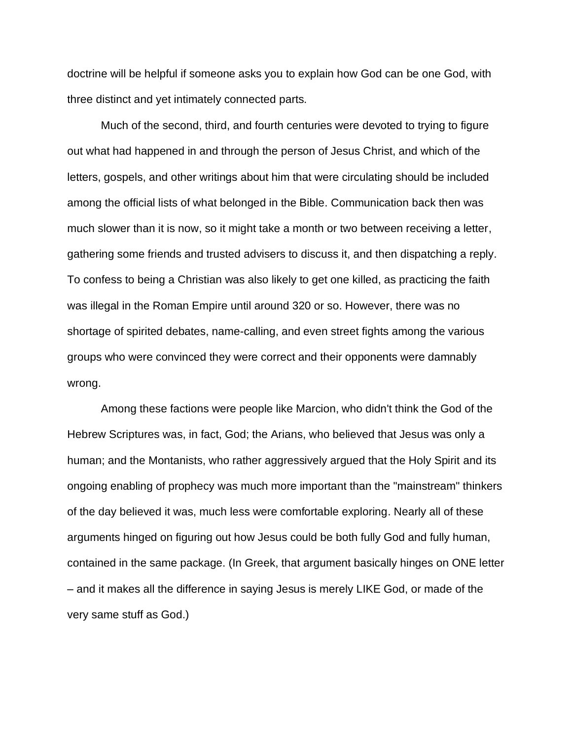doctrine will be helpful if someone asks you to explain how God can be one God, with three distinct and yet intimately connected parts.

Much of the second, third, and fourth centuries were devoted to trying to figure out what had happened in and through the person of Jesus Christ, and which of the letters, gospels, and other writings about him that were circulating should be included among the official lists of what belonged in the Bible. Communication back then was much slower than it is now, so it might take a month or two between receiving a letter, gathering some friends and trusted advisers to discuss it, and then dispatching a reply. To confess to being a Christian was also likely to get one killed, as practicing the faith was illegal in the Roman Empire until around 320 or so. However, there was no shortage of spirited debates, name-calling, and even street fights among the various groups who were convinced they were correct and their opponents were damnably wrong.

Among these factions were people like Marcion, who didn't think the God of the Hebrew Scriptures was, in fact, God; the Arians, who believed that Jesus was only a human; and the Montanists, who rather aggressively argued that the Holy Spirit and its ongoing enabling of prophecy was much more important than the "mainstream" thinkers of the day believed it was, much less were comfortable exploring. Nearly all of these arguments hinged on figuring out how Jesus could be both fully God and fully human, contained in the same package. (In Greek, that argument basically hinges on ONE letter – and it makes all the difference in saying Jesus is merely LIKE God, or made of the very same stuff as God.)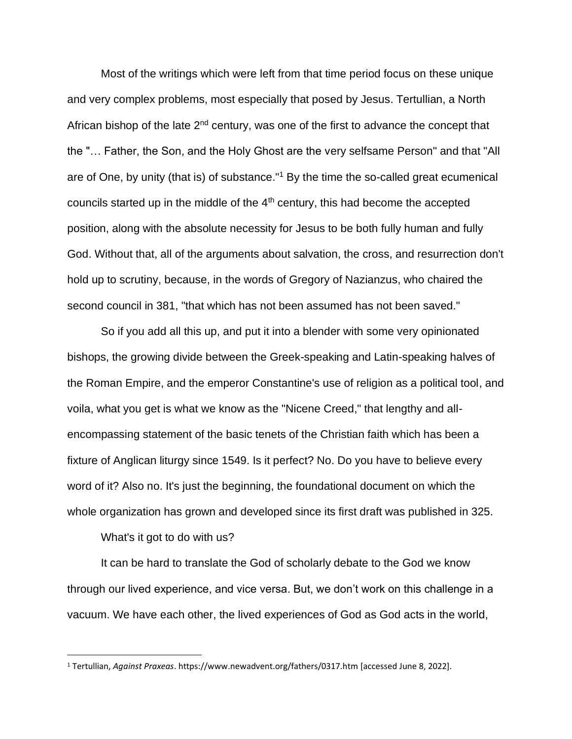Most of the writings which were left from that time period focus on these unique and very complex problems, most especially that posed by Jesus. Tertullian, a North African bishop of the late  $2<sup>nd</sup>$  century, was one of the first to advance the concept that the "… Father, the Son, and the Holy Ghost are the very selfsame Person" and that "All are of One, by unity (that is) of substance."<sup>1</sup> By the time the so-called great ecumenical councils started up in the middle of the 4<sup>th</sup> century, this had become the accepted position, along with the absolute necessity for Jesus to be both fully human and fully God. Without that, all of the arguments about salvation, the cross, and resurrection don't hold up to scrutiny, because, in the words of Gregory of Nazianzus, who chaired the second council in 381, "that which has not been assumed has not been saved."

So if you add all this up, and put it into a blender with some very opinionated bishops, the growing divide between the Greek-speaking and Latin-speaking halves of the Roman Empire, and the emperor Constantine's use of religion as a political tool, and voila, what you get is what we know as the "Nicene Creed," that lengthy and allencompassing statement of the basic tenets of the Christian faith which has been a fixture of Anglican liturgy since 1549. Is it perfect? No. Do you have to believe every word of it? Also no. It's just the beginning, the foundational document on which the whole organization has grown and developed since its first draft was published in 325.

What's it got to do with us?

It can be hard to translate the God of scholarly debate to the God we know through our lived experience, and vice versa. But, we don't work on this challenge in a vacuum. We have each other, the lived experiences of God as God acts in the world,

<sup>1</sup> Tertullian, *Against Praxeas*. https://www.newadvent.org/fathers/0317.htm [accessed June 8, 2022].